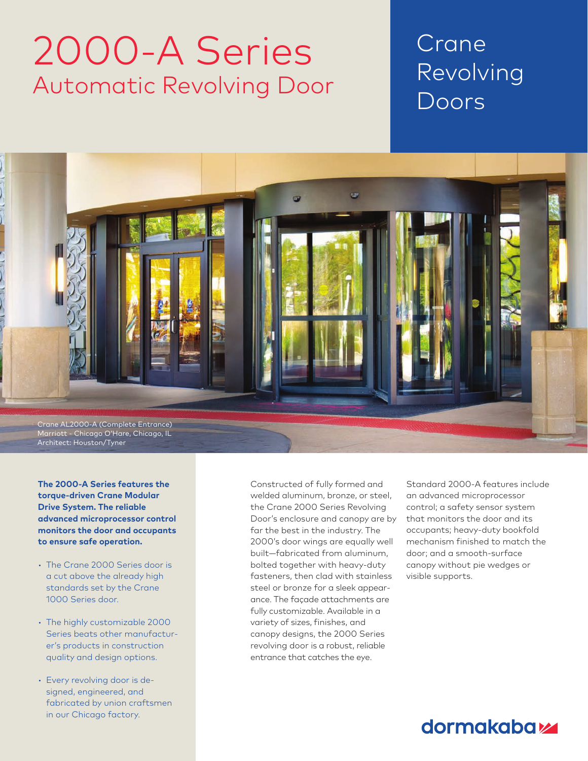# 2000-A Series Automatic Revolving Door

## Crane Revolving Doors

Chapter Title Section Title



**The 2000-A Series features the torque-driven Crane Modular Drive System. The reliable advanced microprocessor control monitors the door and occupants to ensure safe operation.** 

- The Crane 2000 Series door is a cut above the already high standards set by the Crane 1000 Series door.
- The highly customizable 2000 Series beats other manufacturer's products in construction quality and design options.
- Every revolving door is designed, engineered, and fabricated by union craftsmen in our Chicago factory.

Constructed of fully formed and welded aluminum, bronze, or steel, the Crane 2000 Series Revolving Door's enclosure and canopy are by far the best in the industry. The 2000's door wings are equally well built—fabricated from aluminum, bolted together with heavy-duty fasteners, then clad with stainless steel or bronze for a sleek appearance. The façade attachments are fully customizable. Available in a variety of sizes, finishes, and canopy designs, the 2000 Series revolving door is a robust, reliable entrance that catches the eye.

Standard 2000-A features include an advanced microprocessor control; a safety sensor system that monitors the door and its occupants; heavy-duty bookfold mechanism finished to match the door; and a smooth-surface canopy without pie wedges or visible supports.

### dormakaba<sub>k</sub>